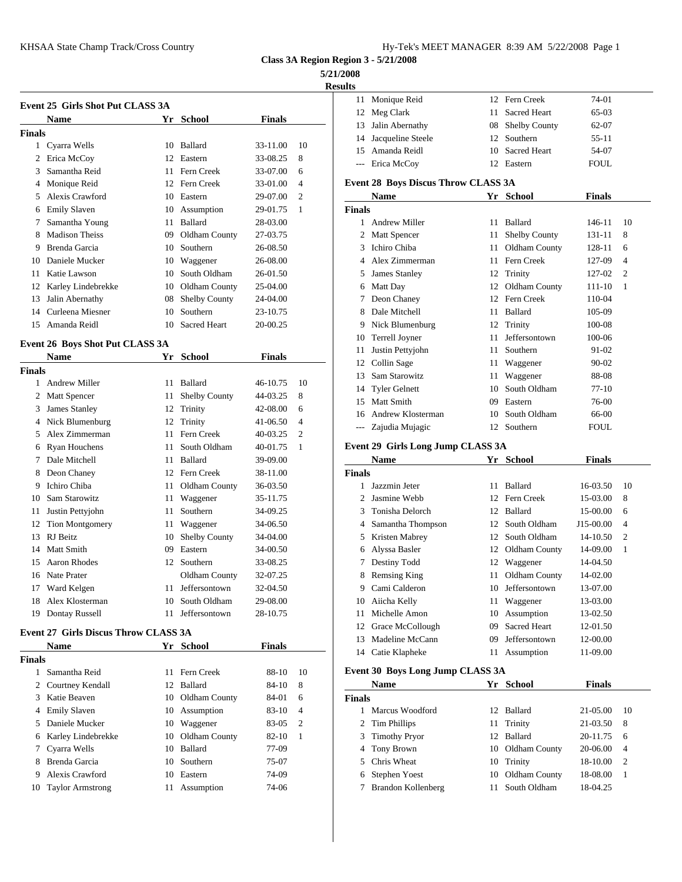| Hy-Tek's MEET MANAGER 8:39 AM 5/22/2008 Page 1 |  |  |  |
|------------------------------------------------|--|--|--|
|------------------------------------------------|--|--|--|

**Class 3A Region Region 3 - 5/21/2008**

## **5/21/2008**

**Results**

|               |                                             |    |                      |               |                | <b>Results</b>    |                                     |    |                      |               |                |
|---------------|---------------------------------------------|----|----------------------|---------------|----------------|-------------------|-------------------------------------|----|----------------------|---------------|----------------|
|               | Event 25 Girls Shot Put CLASS 3A            |    |                      |               |                |                   | 11 Monique Reid                     |    | 12 Fern Creek        | 74-01         |                |
|               | <b>Name</b>                                 |    | Yr School            | <b>Finals</b> |                | 12                | Meg Clark                           | 11 | Sacred Heart         | 65-03         |                |
| <b>Finals</b> |                                             |    |                      |               |                | 13                | Jalin Abernathy                     | 08 | Shelby County        | 62-07         |                |
|               | 1 Cyarra Wells                              |    | 10 Ballard           | 33-11.00      | 10             | 14                | Jacqueline Steele                   | 12 | Southern             | $55 - 11$     |                |
|               | 2 Erica McCoy                               |    | 12 Eastern           | 33-08.25      | 8              | 15                | Amanda Reidl                        | 10 | <b>Sacred Heart</b>  | 54-07         |                |
| 3             | Samantha Reid                               |    | 11 Fern Creek        | 33-07.00      | 6              | $\qquad \qquad -$ | Erica McCoy                         | 12 | Eastern              | <b>FOUL</b>   |                |
| 4             | Monique Reid                                |    | 12 Fern Creek        | 33-01.00      | $\overline{4}$ |                   | Event 28 Boys Discus Throw CLASS 3A |    |                      |               |                |
|               | 5 Alexis Crawford                           | 10 | Eastern              | 29-07.00      | $\overline{2}$ |                   | <b>Name</b>                         |    | Yr School            | <b>Finals</b> |                |
| 6             | <b>Emily Slaven</b>                         | 10 | Assumption           | 29-01.75      | -1             | <b>Finals</b>     |                                     |    |                      |               |                |
| 7             | Samantha Young                              | 11 | Ballard              | 28-03.00      |                | 1                 | <b>Andrew Miller</b>                | 11 | Ballard              | 146-11        | 10             |
| 8             | <b>Madison Theiss</b>                       | 09 | Oldham County        | 27-03.75      |                | 2                 | Matt Spencer                        | 11 | <b>Shelby County</b> | 131-11        | 8              |
| 9             | Brenda Garcia                               | 10 | Southern             | 26-08.50      |                | 3                 | Ichiro Chiba                        | 11 | <b>Oldham County</b> | 128-11        | 6              |
| 10            | Daniele Mucker                              | 10 | Waggener             | 26-08.00      |                | 4                 | Alex Zimmerman                      | 11 | Fern Creek           | 127-09        | $\overline{4}$ |
| 11            | Katie Lawson                                | 10 | South Oldham         | 26-01.50      |                | 5                 | James Stanley                       | 12 | Trinity              | 127-02        | $\overline{2}$ |
| 12            | Karley Lindebrekke                          | 10 | Oldham County        | 25-04.00      |                | 6                 | Matt Day                            | 12 | Oldham County        | 111-10        | -1             |
| 13            | Jalin Abernathy                             | 08 | <b>Shelby County</b> | 24-04.00      |                | 7                 | Deon Chaney                         |    | 12 Fern Creek        | 110-04        |                |
| 14            | Curleena Miesner                            | 10 | Southern             | 23-10.75      |                | 8                 | Dale Mitchell                       | 11 | Ballard              | 105-09        |                |
| 15            | Amanda Reidl                                | 10 | <b>Sacred Heart</b>  | 20-00.25      |                | 9                 | Nick Blumenburg                     | 12 | Trinity              | 100-08        |                |
|               |                                             |    |                      |               |                | 10                | Terrell Joyner                      | 11 | Jeffersontown        | 100-06        |                |
|               | Event 26 Boys Shot Put CLASS 3A             |    |                      |               |                | 11                | Justin Pettyjohn                    | 11 | Southern             | 91-02         |                |
|               | Name                                        | Yr | School               | <b>Finals</b> |                | 12                | Collin Sage                         | 11 | Waggener             | $90 - 02$     |                |
| <b>Finals</b> |                                             |    |                      |               |                | 13                | Sam Starowitz                       | 11 | Waggener             | 88-08         |                |
|               | 1 Andrew Miller                             |    | 11 Ballard           | 46-10.75      | 10             | 14                | <b>Tyler Gelnett</b>                | 10 | South Oldham         | $77-10$       |                |
|               | 2 Matt Spencer                              | 11 | <b>Shelby County</b> | 44-03.25      | 8              | 15                | Matt Smith                          | 09 | Eastern              | 76-00         |                |
|               | 3 James Stanley                             |    | 12 Trinity           | 42-08.00      | 6              | 16                | Andrew Klosterman                   | 10 | South Oldham         | 66-00         |                |
| 4             | Nick Blumenburg                             |    | 12 Trinity           | 41-06.50      | $\overline{4}$ |                   | --- Zajudia Mujagic                 |    | 12 Southern          | <b>FOUL</b>   |                |
|               | 5 Alex Zimmerman                            | 11 | Fern Creek           | 40-03.25      | $\overline{2}$ |                   |                                     |    |                      |               |                |
| 6             | Ryan Houchens                               | 11 | South Oldham         | 40-01.75      | -1             |                   | Event 29 Girls Long Jump CLASS 3A   |    |                      |               |                |
| 7             | Dale Mitchell                               |    | 11 Ballard           | 39-09.00      |                |                   | Name                                |    | Yr School            | <b>Finals</b> |                |
| 8             | Deon Chaney                                 | 12 | Fern Creek           | 38-11.00      |                | <b>Finals</b>     |                                     |    |                      |               |                |
| 9             | Ichiro Chiba                                | 11 | Oldham County        | 36-03.50      |                | 1                 | Jazzmin Jeter                       |    | 11 Ballard           | 16-03.50      | 10             |
| 10            | Sam Starowitz                               |    | 11 Waggener          | 35-11.75      |                | 2                 | Jasmine Webb                        | 12 | Fern Creek           | 15-03.00      | 8              |
| 11            | Justin Pettyjohn                            | 11 | Southern             | 34-09.25      |                | 3                 | Tonisha Delorch                     | 12 | Ballard              | 15-00.00      | 6              |
| 12            | <b>Tion Montgomery</b>                      |    | 11 Waggener          | 34-06.50      |                | 4                 | Samantha Thompson                   | 12 | South Oldham         | J15-00.00     | $\overline{4}$ |
|               | 13 RJ Beitz                                 |    | 10 Shelby County     | 34-04.00      |                | 5                 | Kristen Mabrey                      | 12 | South Oldham         | 14-10.50      | $\overline{2}$ |
| 14            | <b>Matt Smith</b>                           | 09 | Eastern              | 34-00.50      |                | 6                 | Alyssa Basler                       | 12 | Oldham County        | 14-09.00      | 1              |
| 15            | Aaron Rhodes                                |    | 12 Southern          | 33-08.25      |                | 7                 | Destiny Todd                        | 12 | Waggener             | 14-04.50      |                |
|               | 16 Nate Prater                              |    | Oldham County        | 32-07.25      |                | 8                 | <b>Remsing King</b>                 |    | 11 Oldham County     | 14-02.00      |                |
|               | 17 Ward Kelgen                              |    | 11 Jeffersontown     | 32-04.50      |                | 9.                | Cami Calderon                       | 10 | Jeffersontown        | 13-07.00      |                |
|               | 18 Alex Klosterman                          | 10 | South Oldham         | 29-08.00      |                | 10                | Aiicha Kelly                        | 11 | Waggener             | 13-03.00      |                |
|               | 19 Dontay Russell                           |    | 11 Jeffersontown     | 28-10.75      |                | 11                | Michelle Amon                       | 10 | Assumption           | 13-02.50      |                |
|               | <b>Event 27 Girls Discus Throw CLASS 3A</b> |    |                      |               |                |                   | 12 Grace McCollough                 | 09 | Sacred Heart         | 12-01.50      |                |
|               | Name                                        |    | Yr School            | <b>Finals</b> |                |                   | 13 Madeline McCann                  | 09 | Jeffersontown        | 12-00.00      |                |
| Finals        |                                             |    |                      |               |                |                   | 14 Catie Klapheke                   |    | 11 Assumption        | 11-09.00      |                |
|               | 1 Samantha Reid                             |    | 11 Fern Creek        | 88-10         | 10             |                   | Event 30 Boys Long Jump CLASS 3A    |    |                      |               |                |
|               | 2 Courtney Kendall                          |    | 12 Ballard           | 84-10         | 8              |                   | Name                                |    | Yr School            | <b>Finals</b> |                |
|               | 3 Katie Beaven                              |    | 10 Oldham County     | 84-01         | 6              | <b>Finals</b>     |                                     |    |                      |               |                |
|               | 4 Emily Slaven                              |    | 10 Assumption        | 83-10         | $\overline{4}$ |                   | 1 Marcus Woodford                   |    | 12 Ballard           | 21-05.00      | 10             |
|               | 5 Daniele Mucker                            |    | 10 Waggener          | 83-05         | $\overline{2}$ |                   | 2 Tim Phillips                      |    | 11 Trinity           | 21-03.50      | 8              |

 Karley Lindebrekke 10 Oldham County 82-10 1 Cyarra Wells 10 Ballard 77-09 Brenda Garcia 10 Southern 75-07 Alexis Crawford 10 Eastern 74-09 Taylor Armstrong 11 Assumption 74-06

| lts            |                                            |    |                     |               |                |
|----------------|--------------------------------------------|----|---------------------|---------------|----------------|
| 11             | Monique Reid                               |    | 12 Fern Creek       | 74-01         |                |
|                | 12 Meg Clark                               | 11 | <b>Sacred Heart</b> | 65-03         |                |
|                | 13 Jalin Abernathy                         |    | 08 Shelby County    | 62-07         |                |
|                | 14 Jacqueline Steele                       | 12 | Southern            | 55-11         |                |
| 15             | Amanda Reidl                               | 10 | <b>Sacred Heart</b> | 54-07         |                |
| $---$          | Erica McCov                                |    | 12 Eastern          | FOUL          |                |
|                | <b>Event 28 Boys Discus Throw CLASS 3A</b> |    |                     |               |                |
|                | <b>Name</b>                                |    | Yr School           | Finals        |                |
| Finals         |                                            |    |                     |               |                |
|                | 1 Andrew Miller                            | 11 | Ballard             | 146-11        | 10             |
| 2              | <b>Matt Spencer</b>                        | 11 | Shelby County       | 131-11        | 8              |
| 3              | Ichiro Chiba                               | 11 | Oldham County       | 128-11        | 6              |
| 4              | Alex Zimmerman                             | 11 | Fern Creek          | 127-09        | $\overline{4}$ |
|                | 5 James Stanley                            |    | 12 Trinity          | 127-02        | 2              |
|                | 6 Matt Day                                 |    | 12 Oldham County    | 111-10        | 1              |
|                | 7 Deon Chaney                              |    | 12 Fern Creek       | 110-04        |                |
| 8              | Dale Mitchell                              | 11 | Ballard             | 105-09        |                |
|                | 9 Nick Blumenburg                          |    | 12 Trinity          | 100-08        |                |
|                | 10 Terrell Joyner                          | 11 | Jeffersontown       | 100-06        |                |
|                | 11 Justin Pettyjohn                        | 11 | Southern            | 91-02         |                |
|                | 12 Collin Sage                             | 11 | Waggener            | 90-02         |                |
|                | 13 Sam Starowitz                           | 11 | Waggener            | 88-08         |                |
|                | 14 Tyler Gelnett                           | 10 | South Oldham        | 77-10         |                |
|                | 15 Matt Smith                              | 09 | Eastern             | 76-00         |                |
| 16             | Andrew Klosterman                          | 10 | South Oldham        | 66-00         |                |
| $\overline{a}$ | Zajudia Mujagic                            |    | 12 Southern         | <b>FOUL</b>   |                |
|                | Event 29 Girls Long Jump CLASS 3A          |    |                     |               |                |
|                | <b>Name</b>                                |    | Yr School           | <b>Finals</b> |                |
| Finals         |                                            |    |                     |               |                |
|                | 1 Jazzmin Jeter                            | 11 | Ballard             | 16-03.50      | 10             |
|                | 2 Jasmine Webb                             |    | 12 Fern Creek       | 15-03.00      | 8              |
|                | 3 Tonisha Delorch                          | 12 | Ballard             | 15-00.00      | 6              |
|                | 4 Samantha Thompson                        |    | 12 South Oldham     | J15-00.00     | $\overline{4}$ |
| 5              | Kristen Mabrey                             |    | 12 South Oldham     | 14-10.50      | 2              |
|                | 6 Alyssa Basler                            |    | 12 Oldham County    | 14-09.00      | 1              |
|                | 7 Destiny Todd                             | 12 | Waggener            | 14-04.50      |                |
| 8              | <b>Remsing King</b>                        | 11 | Oldham County       | 14-02.00      |                |
|                | 9 Cami Calderon                            | 10 | Jeffersontown       | 13-07.00      |                |
| 10             | Aiicha Kelly                               | 11 | Waggener            | 13-03.00      |                |

|               | <b>Name</b>        |     | Yr School     | <b>Finals</b> |                |
|---------------|--------------------|-----|---------------|---------------|----------------|
| <b>Finals</b> |                    |     |               |               |                |
|               | Marcus Woodford    |     | 12 Ballard    | 21-05.00      | 10             |
|               | 2 Tim Phillips     | 11. | Trinity       | 21-03.50      | 8              |
|               | 3 Timothy Pryor    |     | 12 Ballard    | 20-11.75      | -6             |
|               | 4 Tony Brown       | 10  | Oldham County | 20-06.00      | $\overline{4}$ |
|               | 5 Chris Wheat      | 10  | Trinity       | 18-10.00      | 2              |
| 6             | Stephen Yoest      | 10  | Oldham County | 18-08.00      | -1             |
|               | Brandon Kollenberg |     | South Oldham  | 18-04.25      |                |